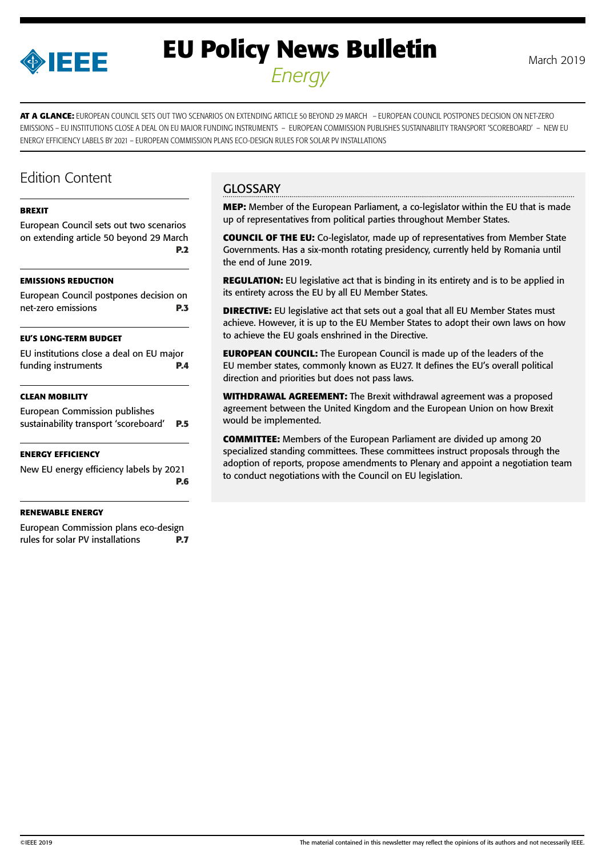

# **EU Policy News Bulletin** March 2019 *Energy*

**AT A GLANCE:** EUROPEAN COUNCIL SETS OUT TWO SCENARIOS ON EXTENDING ARTICLE 50 BEYOND 29 MARCH – EUROPEAN COUNCIL POSTPONES DECISION ON NET-ZERO EMISSIONS – EU INSTITUTIONS CLOSE A DEAL ON EU MAJOR FUNDING INSTRUMENTS – EUROPEAN COMMISSION PUBLISHES SUSTAINABILITY TRANSPORT 'SCOREBOARD' – NEW EU ENERGY EFFICIENCY LABELS BY 2021 – EUROPEAN COMMISSION PLANS ECO-DESIGN RULES FOR SOLAR PV INSTALLATIONS

# Edition Content

#### **[BREXIT](#page-1-0)**

[European Council sets out two scenarios](#page-1-0)  [on extending article 50 beyond 29 March](#page-1-0)  **[P.2](#page-1-0)**

#### **[EMISSIONS REDUCTION](#page-2-0)**

| European Council postpones decision on |            |
|----------------------------------------|------------|
| net-zero emissions                     | <b>P.3</b> |

#### **[EU'S LONG-TERM BUDGET](#page-3-0)**

| EU institutions close a deal on EU major |            |
|------------------------------------------|------------|
| funding instruments                      | <b>P.4</b> |

#### **[CLEAN MOBILITY](#page-4-0)**

[European Commission publishes](#page-4-0)  [sustainability transport 'scoreboard'](#page-4-0) **P.5**

#### **[ENERGY EFFICIENCY](#page-5-0)**

[New EU energy efficiency labels by 2021](#page-5-0) **[P.6](#page-5-0)**

#### **[RENEWABLE ENERGY](#page-6-0)**

[European Commission plans eco-design](#page-6-0)  [rules for solar PV installations](#page-6-0) **P.7**

### **GLOSSARY**

**MEP:** Member of the European Parliament, a co-legislator within the EU that is made up of representatives from political parties throughout Member States.

**COUNCIL OF THE EU:** Co-legislator, made up of representatives from Member State Governments. Has a six-month rotating presidency, currently held by Romania until the end of June 2019.

**REGULATION:** EU legislative act that is binding in its entirety and is to be applied in its entirety across the EU by all EU Member States.

**DIRECTIVE:** EU legislative act that sets out a goal that all EU Member States must achieve. However, it is up to the EU Member States to adopt their own laws on how to achieve the EU goals enshrined in the Directive.

**EUROPEAN COUNCIL:** The European Council is made up of the leaders of the EU member states, commonly known as EU27. It defines the EU's overall political direction and priorities but does not pass laws.

**WITHDRAWAL AGREEMENT:** The Brexit withdrawal agreement was a proposed agreement between the United Kingdom and the European Union on how Brexit would be implemented.

**COMMITTEE:** Members of the European Parliament are divided up among 20 specialized standing committees. These committees instruct proposals through the adoption of reports, propose amendments to Plenary and appoint a negotiation team to conduct negotiations with the Council on EU legislation.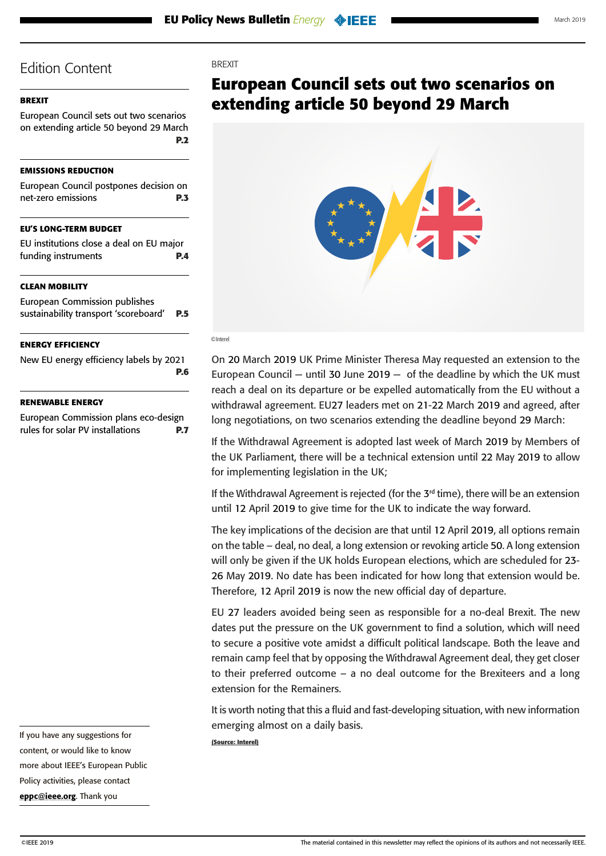### <span id="page-1-0"></span>**BREXIT**

European Council sets out two scenarios on extending article 50 beyond 29 March **P.2**

#### **[EMISSIONS REDUCTION](#page-2-0)**

| European Council postpones decision on |            |
|----------------------------------------|------------|
| net-zero emissions                     | <b>P.3</b> |

### **[EU'S LONG-TERM BUDGET](#page-3-0)**

[EU institutions close a deal on EU major](#page-3-0)  [funding instruments](#page-3-0) **P.4**

#### **[CLEAN MOBILITY](#page-4-0)**

[European Commission publishes](#page-4-0)  [sustainability transport 'scoreboard'](#page-4-0) **P.5**

#### **[ENERGY EFFICIENCY](#page-5-0)**

[New EU energy efficiency labels by 2021](#page-5-0) **[P.6](#page-5-0)**

#### **[RENEWABLE ENERGY](#page-6-0)**

[European Commission plans eco-design](#page-6-0)  [rules for solar PV installations](#page-6-0) **P.7** **BREXIT** 

# **European Council sets out two scenarios on extending article 50 beyond 29 March**



#### ©Interel

On 20 March 2019 UK Prime Minister Theresa May requested an extension to the European Council – until 30 June 2019 – of the deadline by which the UK must reach a deal on its departure or be expelled automatically from the EU without a withdrawal agreement. EU27 leaders met on 21-22 March 2019 and agreed, after long negotiations, on two scenarios extending the deadline beyond 29 March:

If the Withdrawal Agreement is adopted last week of March 2019 by Members of the UK Parliament, there will be a technical extension until 22 May 2019 to allow for implementing legislation in the UK;

If the Withdrawal Agreement is rejected (for the  $3<sup>rd</sup>$  time), there will be an extension until 12 April 2019 to give time for the UK to indicate the way forward.

The key implications of the decision are that until 12 April 2019, all options remain on the table – deal, no deal, a long extension or revoking article 50. A long extension will only be given if the UK holds European elections, which are scheduled for 23- 26 May 2019. No date has been indicated for how long that extension would be. Therefore, 12 April 2019 is now the new official day of departure.

EU 27 leaders avoided being seen as responsible for a no-deal Brexit. The new dates put the pressure on the UK government to find a solution, which will need to secure a positive vote amidst a difficult political landscape. Both the leave and remain camp feel that by opposing the Withdrawal Agreement deal, they get closer to their preferred outcome – a no deal outcome for the Brexiteers and a long extension for the Remainers.

It is worth noting that this a fluid and fast-developing situation, with new information emerging almost on a daily basis.

**(Source: Interel)**

If you have any suggestions for content, or would like to know more about IEEE's European Public Policy activities, please contact [eppc@ieee.org](mailto:eppc%40ieee.org?subject=). Thank you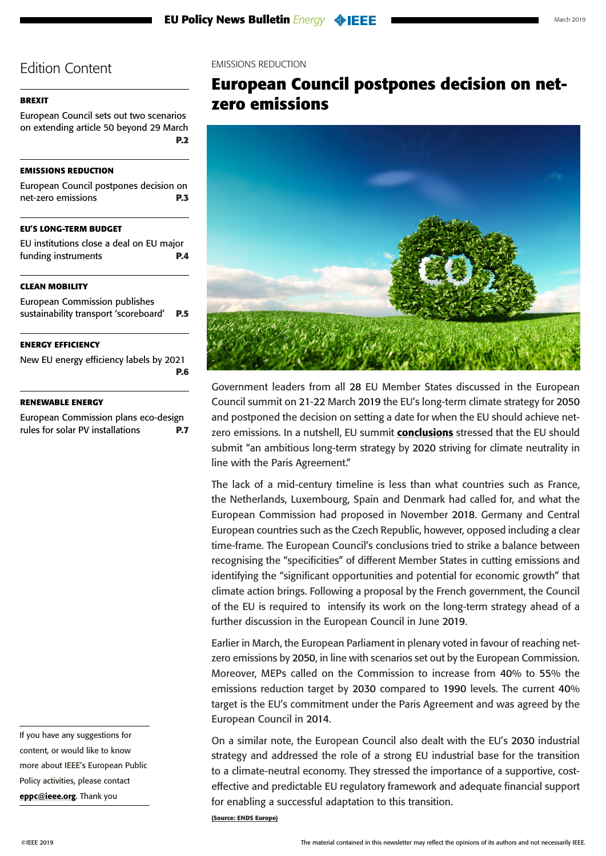#### <span id="page-2-0"></span>**[BREXIT](#page-1-0)**

[European Council sets out two scenarios](#page-1-0)  [on extending article 50 beyond 29 March](#page-1-0)  **[P.2](#page-1-0)**

#### **EMISSIONS REDUCTION**

| European Council postpones decision on            |            |
|---------------------------------------------------|------------|
| net-zero emissions                                | <b>P.3</b> |
|                                                   |            |
| <b>EU'S LONG-TERM BUDGET</b>                      |            |
| The international colorer of the local Television |            |

[EU institutions close a deal on EU major](#page-3-0)  [funding instruments](#page-3-0) **P.4**

### **[CLEAN MOBILITY](#page-4-0)**

| <b>ENERGY EFFICIENCY</b>              |            |
|---------------------------------------|------------|
| sustainability transport 'scoreboard' | <b>P.5</b> |
| <b>European Commission publishes</b>  |            |

[New EU energy efficiency labels by 2021](#page-5-0) **[P.6](#page-5-0)**

#### **[RENEWABLE ENERGY](#page-6-0)**

[European Commission plans eco-design](#page-6-0)  [rules for solar PV installations](#page-6-0) **P.7**

If you have any suggestions for content, or would like to know more about IEEE's European Public Policy activities, please contact [eppc@ieee.org](mailto:eppc%40ieee.org?subject=). Thank you

#### EMISSIONS REDUCTION

# **European Council postpones decision on netzero emissions**



Government leaders from all 28 EU Member States discussed in the European Council summit on 21-22 March 2019 the EU's long-term climate strategy for 2050 and postponed the decision on setting a date for when the EU should achieve netzero emissions. In a nutshell, EU summit [conclusions](https://www.consilium.europa.eu/media/38789/22-euco-final-conclusions-en.pdf) stressed that the EU should submit "an ambitious long-term strategy by 2020 striving for climate neutrality in line with the Paris Agreement."

The lack of a mid-century timeline is less than what countries such as France, the Netherlands, Luxembourg, Spain and Denmark had called for, and what the European Commission had proposed in November 2018. Germany and Central European countries such as the Czech Republic, however, opposed including a clear time-frame. The European Council's conclusions tried to strike a balance between recognising the "specificities" of different Member States in cutting emissions and identifying the "significant opportunities and potential for economic growth" that climate action brings. Following a proposal by the French government, the Council of the EU is required to intensify its work on the long-term strategy ahead of a further discussion in the European Council in June 2019.

Earlier in March, the European Parliament in plenary voted in favour of reaching netzero emissions by 2050, in line with scenarios set out by the European Commission. Moreover, MEPs called on the Commission to increase from 40% to 55% the emissions reduction target by 2030 compared to 1990 levels. The current 40% target is the EU's commitment under the Paris Agreement and was agreed by the European Council in 2014.

On a similar note, the European Council also dealt with the EU's 2030 industrial strategy and addressed the role of a strong EU industrial base for the transition to a climate-neutral economy. They stressed the importance of a supportive, costeffective and predictable EU regulatory framework and adequate financial support for enabling a successful adaptation to this transition.

**(Source: ENDS Europe)**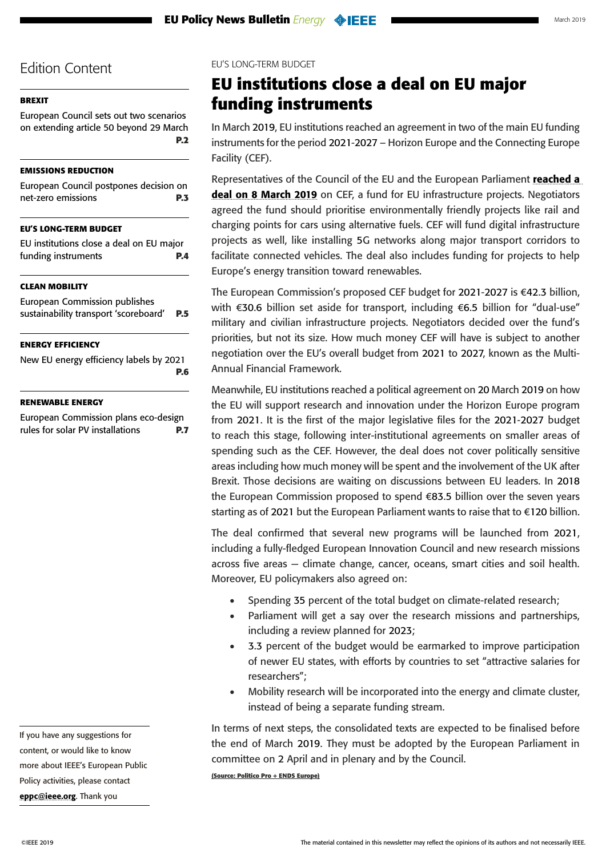### <span id="page-3-0"></span>**[BREXIT](#page-1-0)**

[European Council sets out two scenarios](#page-1-0)  [on extending article 50 beyond 29 March](#page-1-0)  **[P.2](#page-1-0)**

#### **[EMISSIONS REDUCTION](#page-2-0)**

[European Council postpones decision on](#page-2-0)  [net-zero emissions](#page-2-0) **P.3**

### **EU'S LONG-TERM BUDGET**

| EU institutions close a deal on EU major |     |
|------------------------------------------|-----|
| funding instruments                      | P.4 |

### **[CLEAN MOBILITY](#page-4-0)**

[European Commission publishes](#page-4-0)  [sustainability transport 'scoreboard'](#page-4-0) **P.5**

### **[ENERGY EFFICIENCY](#page-5-0)**

[New EU energy efficiency labels by 2021](#page-5-0) **[P.6](#page-5-0)**

### **[RENEWABLE ENERGY](#page-6-0)**

[European Commission plans eco-design](#page-6-0)  [rules for solar PV installations](#page-6-0) **P.7** EU'S LONG-TERM BUDGET

# **EU institutions close a deal on EU major funding instruments**

In March 2019, EU institutions reached an agreement in two of the main EU funding instruments for the period 2021-2027 – Horizon Europe and the Connecting Europe Facility (CEF).

Representatives of the Council of the EU and the European Parliament [reached a](http://europa.eu/rapid/press-release_IP-19-1600_en.htm)  [deal on 8 March 2019](http://europa.eu/rapid/press-release_IP-19-1600_en.htm) on CEF, a fund for EU infrastructure projects. Negotiators agreed the fund should prioritise environmentally friendly projects like rail and charging points for cars using alternative fuels. CEF will fund digital infrastructure projects as well, like installing 5G networks along major transport corridors to facilitate connected vehicles. The deal also includes funding for projects to help Europe's energy transition toward renewables.

The European Commission's proposed CEF budget for 2021-2027 is €42.3 billion, with €30.6 billion set aside for transport, including €6.5 billion for "dual-use" military and civilian infrastructure projects. Negotiators decided over the fund's priorities, but not its size. How much money CEF will have is subject to another negotiation over the EU's overall budget from 2021 to 2027, known as the Multi-Annual Financial Framework.

Meanwhile, EU institutions reached a political agreement on 20 March 2019 on how the EU will support research and innovation under the Horizon Europe program from 2021. It is the first of the major legislative files for the 2021-2027 budget to reach this stage, following inter-institutional agreements on smaller areas of spending such as the CEF. However, the deal does not cover politically sensitive areas including how much money will be spent and the involvement of the UK after Brexit. Those decisions are waiting on discussions between EU leaders. In 2018 the European Commission proposed to spend €83.5 billion over the seven years starting as of 2021 but the European Parliament wants to raise that to €120 billion.

The deal confirmed that several new programs will be launched from 2021, including a fully-fledged European Innovation Council and new research missions across five areas — climate change, cancer, oceans, smart cities and soil health. Moreover, EU policymakers also agreed on:

- Spending 35 percent of the total budget on climate-related research;
- Parliament will get a say over the research missions and partnerships, including a review planned for 2023;
- • 3.3 percent of the budget would be earmarked to improve participation of newer EU states, with efforts by countries to set "attractive salaries for researchers";
- Mobility research will be incorporated into the energy and climate cluster, instead of being a separate funding stream.

In terms of next steps, the consolidated texts are expected to be finalised before the end of March 2019. They must be adopted by the European Parliament in committee on 2 April and in plenary and by the Council.

**(Source: Politico Pro + ENDS Europe)**

[eppc@ieee.org](mailto:eppc%40ieee.org?subject=). Thank you

If you have any suggestions for content, or would like to know more about IEEE's European Public Policy activities, please contact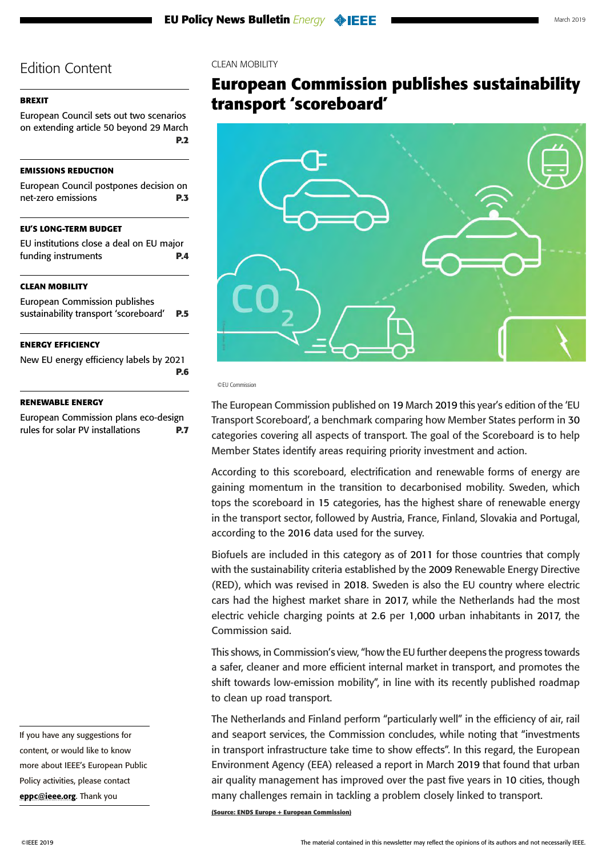### <span id="page-4-0"></span>**[BREXIT](#page-1-0)**

[European Council sets out two scenarios](#page-1-0)  [on extending article 50 beyond 29 March](#page-1-0)  **[P.2](#page-1-0)**

#### **[EMISSIONS REDUCTION](#page-2-0)**

| European Council postpones decision on<br>net-zero emissions           | P.3 |
|------------------------------------------------------------------------|-----|
| <b>EU'S LONG-TERM BUDGET</b>                                           |     |
| EU institutions close a deal on EU major<br>funding instruments        | P.4 |
| <b>CLEAN MOBILITY</b>                                                  |     |
| European Commission publishes<br>sustainability transport 'scoreboard' | P.5 |
| <b>ENERGY EFFICIENCY</b>                                               |     |
| New EU energy efficiency labels by 2021                                | P.6 |
| <b>RENEWABLE ENERGY</b>                                                |     |
| European Commission plans eco-design                                   |     |

[rules for solar PV installations](#page-6-0) **P.7**

If you have any suggestions for content, or would like to know more about IEEE's European Public Policy activities, please contact [eppc@ieee.org](mailto:eppc%40ieee.org?subject=). Thank you

#### CLEAN MOBILITY

# **European Commission publishes sustainability transport 'scoreboard'**



©EU Commission

The European Commission published on 19 March 2019 this year's edition of the ['EU](https://ec.europa.eu/transport/facts-fundings/scoreboard_en)  [Transport Scoreboard'](https://ec.europa.eu/transport/facts-fundings/scoreboard_en), a benchmark comparing how Member States perform in 30 categories covering all aspects of transport. The goal of the Scoreboard is to help Member States identify areas requiring priority investment and action.

According to this scoreboard, electrification and renewable forms of energy are gaining momentum in the transition to decarbonised mobility. Sweden, which tops the scoreboard in 15 categories, has the highest share of renewable energy in the transport sector, followed by Austria, France, Finland, Slovakia and Portugal, according to the 2016 data used for the survey.

Biofuels are included in this category as of 2011 for those countries that comply with the sustainability criteria established by the 2009 Renewable Energy Directive (RED), which was revised in 2018. Sweden is also the EU country where electric cars had the highest market share in 2017, while the Netherlands had the most electric vehicle charging points at 2.6 per 1,000 urban inhabitants in 2017, the Commission said.

This shows, in Commission's view, "how the EU further deepens the progress towards a safer, cleaner and more efficient internal market in transport, and promotes the shift towards low-emission mobility", in line with its [recently published roadmap](https://ec.europa.eu/docsroom/documents/34503/attachments/1/translations/en/renditions/native)  [to clean up road transport](https://ec.europa.eu/docsroom/documents/34503/attachments/1/translations/en/renditions/native).

The Netherlands and Finland perform "particularly well" in the efficiency of air, rail and seaport services, the Commission concludes, while noting that "investments in transport infrastructure take time to show effects". In this regard, the European Environment Agency (EEA) released a [report](https://www.eea.europa.eu/publications/europes-urban-air-quality) in March 2019 that found that urban air quality management has improved over the past five years in 10 cities, though many challenges remain in tackling a problem closely linked to transport.

**(Source: ENDS Europe + European Commission)**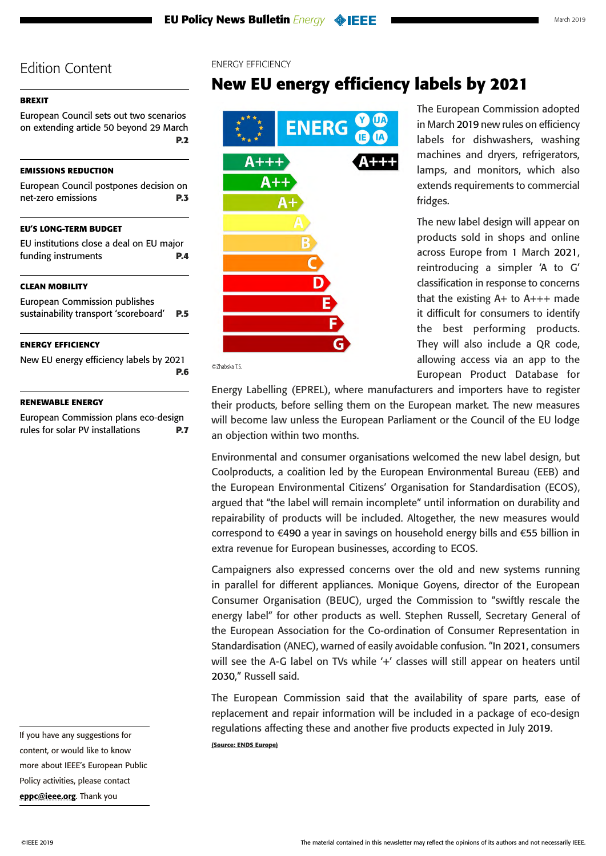### <span id="page-5-0"></span>**[BREXIT](#page-1-0)**

[European Council sets out two scenarios](#page-1-0)  [on extending article 50 beyond 29 March](#page-1-0)  **[P.2](#page-1-0)**

#### **[EMISSIONS REDUCTION](#page-2-0)**

| European Council postpones decision on<br>net-zero emissions                  | P.3        |
|-------------------------------------------------------------------------------|------------|
| <b>EU'S LONG-TERM BUDGET</b>                                                  |            |
| EU institutions close a deal on EU major<br>funding instruments               | <b>P.4</b> |
| <b>CLEAN MOBILITY</b>                                                         |            |
| <b>European Commission publishes</b><br>sustainability transport 'scoreboard' | <b>P.5</b> |
| <b>ENERGY EFFICIENCY</b>                                                      |            |
| New EU energy efficiency labels by 2021                                       | P.6        |
| <b>RENEWABLE ENERGY</b>                                                       |            |
| European Commission plans eco-design                                          |            |
| rules for solar PV installations                                              | P.7        |

If you have any suggestions for content, or would like to know more about IEEE's European Public Policy activities, please contact [eppc@ieee.org](mailto:eppc%40ieee.org?subject=). Thank you

#### ENERGY EFFICIENCY

# **New EU energy efficiency labels by 2021**



The European Commission adopted in March 2019 new rules on efficiency labels for dishwashers, washing machines and dryers, refrigerators, lamps, and monitors, which also extends requirements to commercial fridges.

The new label design will appear on products sold in shops and online across Europe from 1 March 2021, reintroducing a simpler 'A to G' classification in response to concerns that the existing A+ to A+++ made it difficult for consumers to identify the best performing products. They will also include a QR code, allowing access via an app to the [European Product Database for](https://ec.europa.eu/info/energy-climate-change-environment/standards-tools-and-labels/products-labelling-rules-and-requirements/energy-label-and-ecodesign/european-product-database-energy-labelling_en) 

[Energy Labelling \(EPREL\),](https://ec.europa.eu/info/energy-climate-change-environment/standards-tools-and-labels/products-labelling-rules-and-requirements/energy-label-and-ecodesign/european-product-database-energy-labelling_en) where manufacturers and importers have to register their products, before selling them on the European market. The new measures will become law unless the European Parliament or the Council of the EU lodge an objection within two months.

Environmental and consumer organisations welcomed the new label design, but [Coolproducts](https://www.coolproducts.eu/), a coalition led by the European Environmental Bureau (EEB) and the European Environmental Citizens' Organisation for Standardisation (ECOS), argued that "the label will remain incomplete" until information on durability and repairability of products will be included. Altogether, the new measures would correspond to €490 a year in savings on household energy bills and €55 billion in extra revenue for European businesses, according to ECOS.

Campaigners also expressed concerns over the old and new systems running in parallel for different appliances. Monique Goyens, director of the European Consumer Organisation ([BEUC](https://www.beuc.eu/)), urged the Commission to "swiftly rescale the energy label" for other products as well. Stephen Russell, Secretary General of the European Association for the Co-ordination of Consumer Representation in Standardisation (ANEC), warned of easily avoidable confusion. "In 2021, consumers will see the A-G label on TVs while '+' classes will still appear on heaters until 2030," Russell said.

The European Commission said that the availability of spare parts, ease of replacement and repair information will be included in a package of eco-design regulations affecting these and another five products expected in July 2019. **(Source: ENDS Europe)**